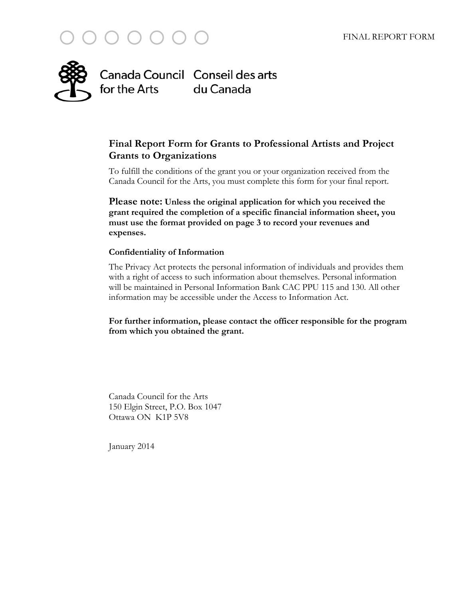



# **Final Report Form for Grants to Professional Artists and Project Grants to Organizations**

To fulfill the conditions of the grant you or your organization received from the Canada Council for the Arts, you must complete this form for your final report.

**Please note: Unless the original application for which you received the grant required the completion of a specific financial information sheet, you must use the format provided on page 3 to record your revenues and expenses.**

#### **Confidentiality of Information**

The Privacy Act protects the personal information of individuals and provides them with a right of access to such information about themselves. Personal information will be maintained in Personal Information Bank CAC PPU 115 and 130. All other information may be accessible under the Access to Information Act.

**For further information, please contact the officer responsible for the program from which you obtained the grant.** 

Canada Council for the Arts 150 Elgin Street, P.O. Box 1047 Ottawa ON K1P 5V8

January 2014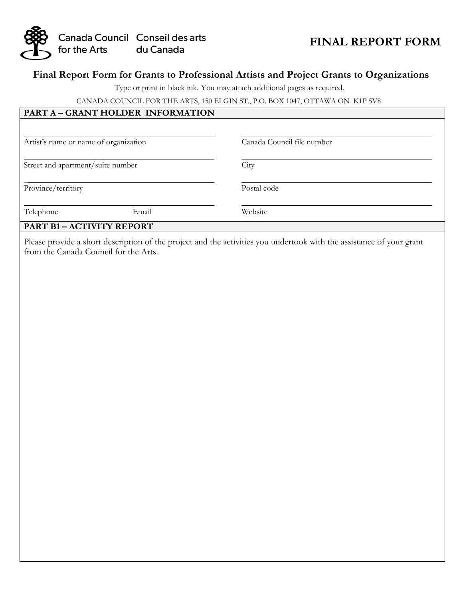

# **FINAL REPORT FORM**

### **Final Report Form for Grants to Professional Artists and Project Grants to Organizations**

Type or print in black ink. You may attach additional pages as required.

CANADA COUNCIL FOR THE ARTS, 150 ELGIN ST., P.O. BOX 1047, OTTAWA ON K1P 5V8

### **PART A – GRANT HOLDER INFORMATION**

| Artist's name or name of organization |       | Canada Council file number |  |  |  |
|---------------------------------------|-------|----------------------------|--|--|--|
| Street and apartment/suite number     |       | City                       |  |  |  |
| Province/territory                    |       | Postal code                |  |  |  |
| Telephone                             | Email | Website                    |  |  |  |

#### **PART B1 – ACTIVITY REPORT**

Please provide a short description of the project and the activities you undertook with the assistance of your grant from the Canada Council for the Arts.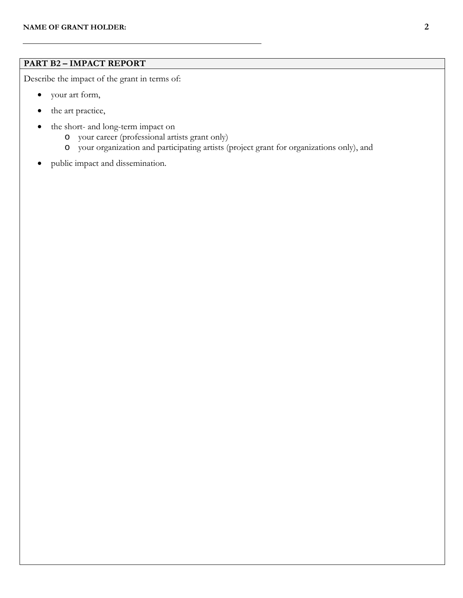$\overline{a}$ 

# **PART B2 – IMPACT REPORT**

Describe the impact of the grant in terms of:

- your art form,
- the art practice,
- the short- and long-term impact on
	- o your career (professional artists grant only)
	- o your organization and participating artists (project grant for organizations only), and
- public impact and dissemination.